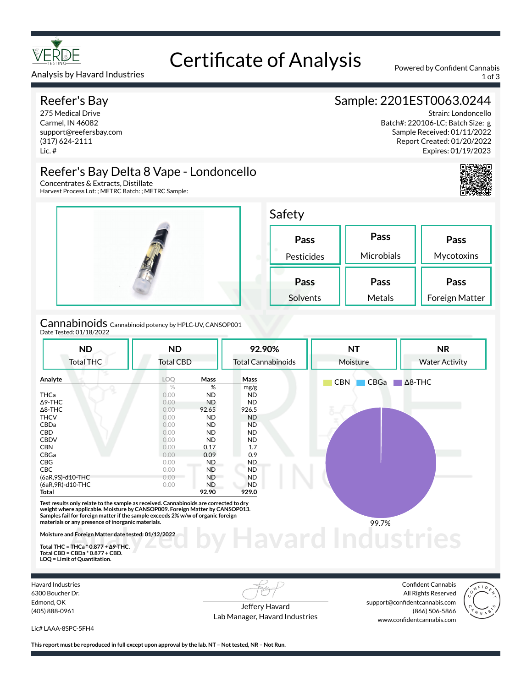

## Certificate of Analysis Powered by Confident Cannabis

Analysis by Havard Industries 1 of 3

#### Reefer's Bay

275 Medical Drive Carmel, IN 46082 support@reefersbay.com (317) 624-2111 Lic. #

#### Sample: 2201EST0063.0244

Strain: Londoncello Batch#: 220106-LC; Batch Size: g Sample Received: 01/11/2022 Report Created: 01/20/2022 Expires: 01/19/2023





Harvest Process Lot: ; METRC Batch: ; METRC Sample:



Cannabinoids Cannabinoid potency by HPLC-UV, CANSOP001 Date Tested: 01/18/2022

| <b>Total THC</b>  |                  |           | 92.90%                    | <b>NT</b>          | <b>NR</b>             |  |
|-------------------|------------------|-----------|---------------------------|--------------------|-----------------------|--|
|                   | <b>Total CBD</b> |           | <b>Total Cannabinoids</b> | Moisture           | <b>Water Activity</b> |  |
| Analyte           | <b>LOO</b>       | Mass      | Mass                      | <b>CBN</b><br>CBGa | $\Delta$ 8-THC        |  |
|                   | $\frac{0}{2}$    | %         | mg/g                      |                    |                       |  |
| <b>THCa</b>       | 0.00             | <b>ND</b> | ND.                       |                    |                       |  |
| $\Delta$ 9-THC    | 0.00             | <b>ND</b> | ND.                       |                    |                       |  |
| $\Delta$ 8-THC    | 0.00             | 92.65     | 926.5                     |                    |                       |  |
| <b>THCV</b>       | 0.00             | <b>ND</b> | <b>ND</b>                 |                    |                       |  |
| CBDa              | 0.00             | <b>ND</b> | ND.                       |                    |                       |  |
| CBD               | 0.00             | <b>ND</b> | ND.                       |                    |                       |  |
| <b>CBDV</b>       | 0.00             | <b>ND</b> | <b>ND</b>                 |                    |                       |  |
| <b>CBN</b>        | 0.00             | 0.17      | 1.7                       |                    |                       |  |
| CBGa              | 0.00             | 0.09      | 0.9                       |                    |                       |  |
| <b>CBG</b>        | 0.00             | ND.       | ND.                       |                    |                       |  |
| <b>CBC</b>        | 0.00             | <b>ND</b> | <b>ND</b>                 |                    |                       |  |
| (6aR,9S)-d10-THC  | 0.00             | <b>ND</b> | <b>ND</b>                 |                    |                       |  |
| (6aR, 9R)-d10-THC | 0.00             | ND.       | <b>ND</b>                 |                    |                       |  |
| <b>Total</b>      |                  | 92.90     | 929.0                     |                    |                       |  |

**Total THC = THCa \* 0.877 + ∆9-THC. Total CBD = CBDa \* 0.877 + CBD. LOQ = Limit of Quantitation.**

Havard Industries 6300 Boucher Dr. Edmond, OK (405) 888-0961

Jeffery Havard Lab Manager, Havard Industries

Confident Cannabis All Rights Reserved support@confidentcannabis.com (866) 506-5866 www.confidentcannabis.com



Lic# LAAA-8SPC-5FH4

**This report must be reproduced in full except upon approval by the lab. NT – Not tested, NR – Not Run.**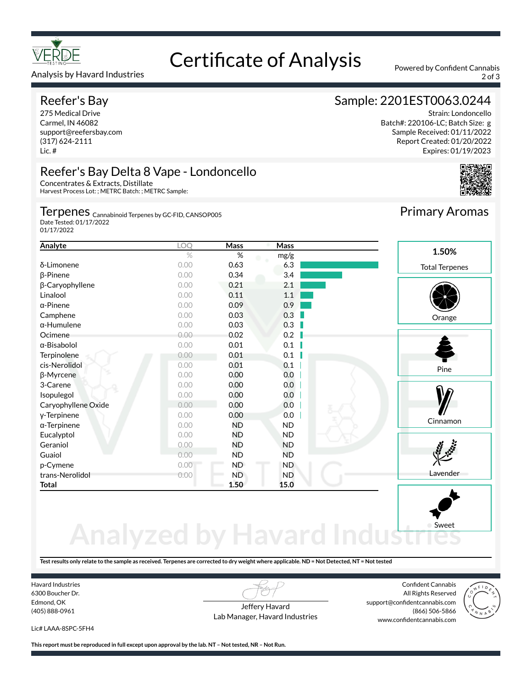

#### Analysis by Havard Industries 2007 30 and 2007 30 and 2007 30 and 2007 30 and 2007 30 and 2007 30 and 2007 30 and 2007 30 and 2007 30 and 2007 30 and 2007 30 and 2007 30 and 2007 30 and 2007 30 and 2007 30 and 2007 30 and

#### Reefer's Bay

275 Medical Drive Carmel, IN 46082 support@reefersbay.com (317) 624-2111 Lic. #

### Certificate of Analysis Powered by Confident Cannabis

#### Sample: 2201EST0063.0244

Strain: Londoncello Batch#: 220106-LC; Batch Size: g Sample Received: 01/11/2022 Report Created: 01/20/2022 Expires: 01/19/2023



#### Reefer's Bay Delta 8 Vape - Londoncello Concentrates & Extracts, Distillate

Harvest Process Lot: ; METRC Batch: ; METRC Sample:

#### Terpenes <sub>Cannabinoid Terpenes by GC-FID, CANSOP005</sub>

Date Tested: 01/17/2022 01/17/2022

| Analyte             | $\overline{OQ}$ | Mass      | Mass      |                       |
|---------------------|-----------------|-----------|-----------|-----------------------|
|                     | $\%$            | $\%$      | mg/g      | 1.50%                 |
| δ-Limonene          | 0.00            | 0.63      | 6.3       | <b>Total Terpenes</b> |
| $\beta$ -Pinene     | 0.00            | 0.34      | 3.4       |                       |
| β-Caryophyllene     | 0.00            | 0.21      | 2.1       |                       |
| Linalool            | 0.00            | 0.11      | 1.1       |                       |
| $\alpha$ -Pinene    | 0.00            | 0.09      | 0.9       |                       |
| Camphene            | 0.00            | 0.03      | 0.3       | Orange                |
| $\alpha$ -Humulene  | 0.00            | 0.03      | 0.3       |                       |
| Ocimene             | 0.00            | 0.02      | 0.2       |                       |
| $\alpha$ -Bisabolol | 0.00            | 0.01      | 0.1       |                       |
| Terpinolene         | 0.00            | 0.01      | 0.1       |                       |
| cis-Nerolidol       | 0.00            | 0.01      | 0.1       | Pine                  |
| β-Myrcene           | 0.00            | 0.00      | 0.0       |                       |
| 3-Carene            | 0.00            | 0.00      | 0.0       |                       |
| Isopulegol          | 0.00            | 0.00      | 0.0       |                       |
| Caryophyllene Oxide | 0.00            | 0.00      | 0.0       |                       |
| y-Terpinene         | 0.00            | 0.00      | 0.0       |                       |
| $\alpha$ -Terpinene | 0.00            | <b>ND</b> | <b>ND</b> | Cinnamon              |
| Eucalyptol          | 0.00            | <b>ND</b> | ND.       |                       |
| Geraniol            | 0.00            | <b>ND</b> | <b>ND</b> |                       |
| Guaiol              | 0.00            | <b>ND</b> | <b>ND</b> |                       |
| p-Cymene            | 0.00            | <b>ND</b> | ND.       |                       |
| trans-Nerolidol     | 0.00            | <b>ND</b> | <b>ND</b> | Lavender              |
| <b>Total</b>        |                 | 1.50      | 15.0      |                       |

# **Analyzed by Havard Indust**

**Test results only relate to the sample as received. Terpenes are corrected to dry weight where applicable. ND = Not Detected, NT = Not tested**

Havard Industries 6300 Boucher Dr. Edmond, OK (405) 888-0961

Jeffery Havard Lab Manager, Havard Industries

Confident Cannabis All Rights Reserved support@confidentcannabis.com (866) 506-5866 www.confidentcannabis.com

Sweet



Lic# LAAA-8SPC-5FH4

**This report must be reproduced in full except upon approval by the lab. NT – Not tested, NR – Not Run.**

Primary Aromas